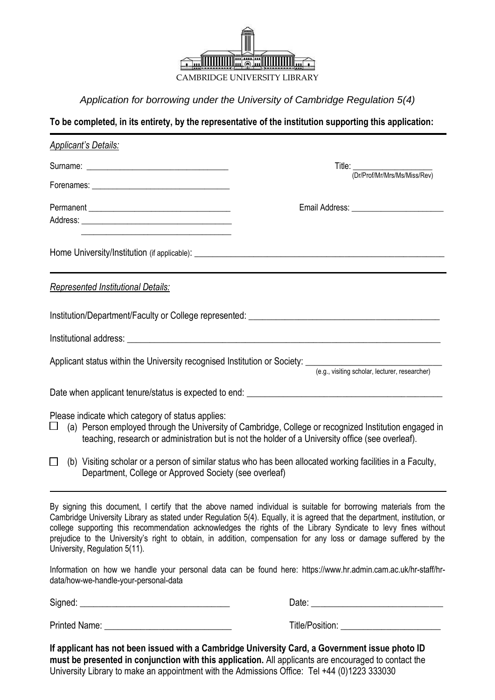

*Application for borrowing under the University of Cambridge Regulation 5(4)*

**To be completed, in its entirety, by the representative of the institution supporting this application:**

| <b>Applicant's Details:</b>                                                                                                                                                    |                                                                                                                                                                                                                                                                                                                                                                                                                                                                                  |
|--------------------------------------------------------------------------------------------------------------------------------------------------------------------------------|----------------------------------------------------------------------------------------------------------------------------------------------------------------------------------------------------------------------------------------------------------------------------------------------------------------------------------------------------------------------------------------------------------------------------------------------------------------------------------|
|                                                                                                                                                                                | Title: (Dr/Prof/Mr/Mrs/Ms/Miss/Rev)                                                                                                                                                                                                                                                                                                                                                                                                                                              |
|                                                                                                                                                                                |                                                                                                                                                                                                                                                                                                                                                                                                                                                                                  |
|                                                                                                                                                                                |                                                                                                                                                                                                                                                                                                                                                                                                                                                                                  |
|                                                                                                                                                                                |                                                                                                                                                                                                                                                                                                                                                                                                                                                                                  |
|                                                                                                                                                                                | Home University/Institution (if applicable): ___________________________________                                                                                                                                                                                                                                                                                                                                                                                                 |
| Represented Institutional Details:                                                                                                                                             |                                                                                                                                                                                                                                                                                                                                                                                                                                                                                  |
|                                                                                                                                                                                |                                                                                                                                                                                                                                                                                                                                                                                                                                                                                  |
|                                                                                                                                                                                |                                                                                                                                                                                                                                                                                                                                                                                                                                                                                  |
|                                                                                                                                                                                |                                                                                                                                                                                                                                                                                                                                                                                                                                                                                  |
|                                                                                                                                                                                |                                                                                                                                                                                                                                                                                                                                                                                                                                                                                  |
|                                                                                                                                                                                |                                                                                                                                                                                                                                                                                                                                                                                                                                                                                  |
| Please indicate which category of status applies:<br>⊔                                                                                                                         | (a) Person employed through the University of Cambridge, College or recognized Institution engaged in<br>teaching, research or administration but is not the holder of a University office (see overleaf).                                                                                                                                                                                                                                                                       |
| (b) Visiting scholar or a person of similar status who has been allocated working facilities in a Faculty,<br>$\Box$<br>Department, College or Approved Society (see overleaf) |                                                                                                                                                                                                                                                                                                                                                                                                                                                                                  |
| University, Regulation 5(11).                                                                                                                                                  | By signing this document, I certify that the above named individual is suitable for borrowing materials from the<br>Cambridge University Library as stated under Regulation 5(4). Equally, it is agreed that the department, institution, or<br>college supporting this recommendation acknowledges the rights of the Library Syndicate to levy fines without<br>prejudice to the University's right to obtain, in addition, compensation for any loss or damage suffered by the |
| data/how-we-handle-your-personal-data                                                                                                                                          | Information on how we handle your personal data can be found here: https://www.hr.admin.cam.ac.uk/hr-staff/hr-                                                                                                                                                                                                                                                                                                                                                                   |

Signed: \_\_\_\_\_\_\_\_\_\_\_\_\_\_\_\_\_\_\_\_\_\_\_\_\_\_\_\_\_\_\_\_\_ Date: \_\_\_\_\_\_\_\_\_\_\_\_\_\_\_\_\_\_\_\_\_\_\_\_\_\_\_\_\_

Printed Name: \_\_\_\_\_\_\_\_\_\_\_\_\_\_\_\_\_\_\_\_\_\_\_\_\_\_\_\_ Title/Position: \_\_\_\_\_\_\_\_\_\_\_\_\_\_\_\_\_\_\_\_\_\_

**If applicant has not been issued with a Cambridge University Card, a Government issue photo ID must be presented in conjunction with this application.** All applicants are encouraged to contact the University Library to make an appointment with the Admissions Office: Tel +44 (0)1223 333030